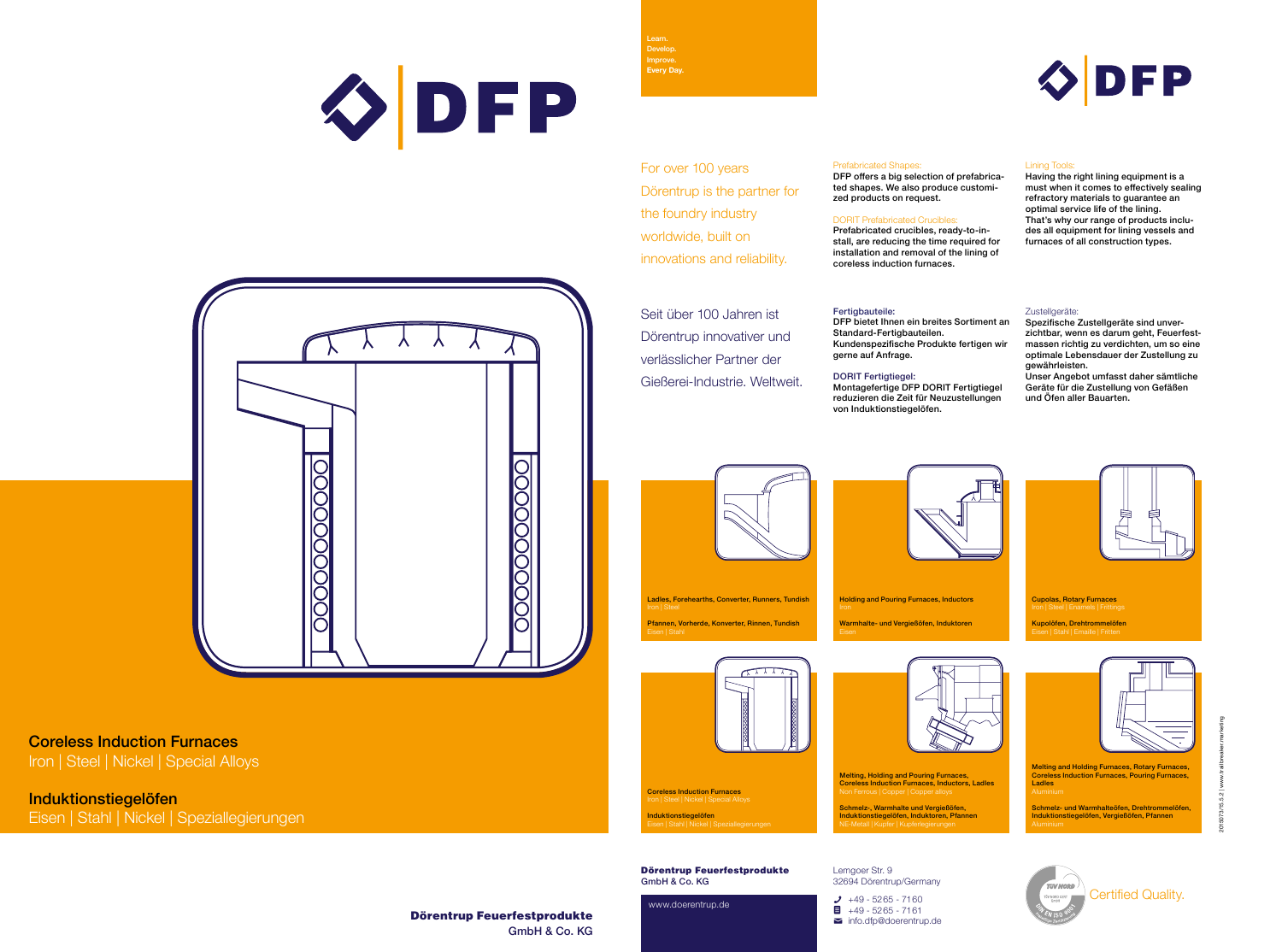Dörentrup Feuerfestprodukte GmbH & Co. KG



2015073/15.5.2 | www.trailbreaker.marketing

# Coreless Induction Furnaces

Iron | Steel | Nickel | Special Alloys

Induktionstiegelöfen

Eisen | Stahl | Nickel | Speziallegierungen

Dörentrup Feuerfestprodukte GmbH & Co. KG

www.doerentrup.de



Lemgoer Str. 9 32694 Dörentrup/Germany

 $\bigcup_{+49}$  - 5265 - 7160  $\blacksquare$  +49 - 5265 - 7161  $\blacksquare$  info.dfp@doerentrup.de



Learn. Develop. Improve. **Every Day.**

Certified Quality.

Melting, Holding and Pouring Furnaces, Coreless Induction Furnaces, Inductors, Ladles

Coreless Induction Furnaces Iron | Steel | Nickel | Special Alloys **Induktionstiegelöfen**<br>Eisen | Stahl | Nickel | Speziallegierungen

Schmelz-, Warmhalte und Vergießöfen, Induktionstiegelöfen, Induktoren, Pfannen NE-Metall | Kupfer | Kupferlegierungen

Melting and Holding Furnaces, Rotary Furnaces, Coreless Induction Furnaces, Pouring Furnaces, Ladles

Schmelz- und Warmhalteöfen, Drehtrommelöfen, Induktionstiegelöfen, Vergießöfen, Pfannen



Holding and Pouring Furnaces, Inductors Warmhalte- und Vergießöfen, Induktoren



Ladles, Forehearths, Converter, Runners, Tundish Pfannen, Vorherde, Konverter, Rinnen, Tundish





For over 100 years Dörentrup is the partner for the foundry industry worldwide, built on innovations and reliability.



DFP offers a big selection of prefabricated shapes. We also produce customized products on request.

# DORIT Prefabricated Crucibles:

Prefabricated crucibles, ready-to-install, are reducing the time required for installation and removal of the lining of coreless induction furnaces.

## Fertigbauteile:

### Lining Tools:

Having the right lining equipment is a must when it comes to effectively sealing refractory materials to guarantee an optimal service life of the lining. That's why our range of products includes all equipment for lining vessels and furnaces of all construction types.

#### Zustellgeräte:

Seit über 100 Jahren ist Dörentrup innovativer und verlässlicher Partner der Gießerei-Industrie. Weltweit.

DFP bietet Ihnen ein breites Sortiment an Standard-Fertigbauteilen. Kundenspezifische Produkte fertigen wir gerne auf Anfrage.

DORIT Fertigtiegel: Montagefertige DFP DORIT Fertigtiegel reduzieren die Zeit für Neuzustellungen von Induktionstiegelöfen.



Spezifische Zustellgeräte sind unverzichtbar, wenn es darum geht, Feuerfestmassen richtig zu verdichten, um so eine optimale Lebensdauer der Zustellung zu gewährleisten.

Unser Angebot umfasst daher sämtliche Geräte für die Zustellung von Gefäßen und Öfen aller Bauarten.